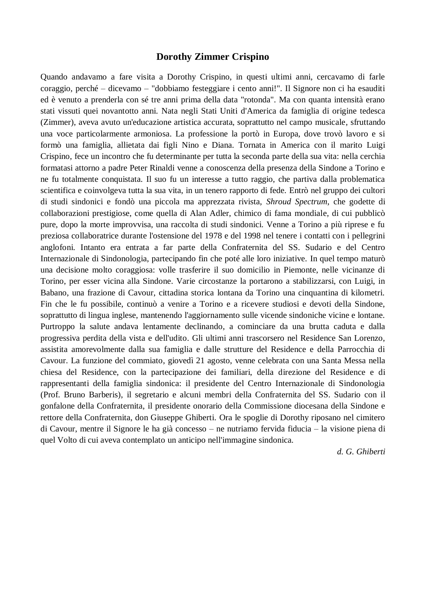## **Dorothy Zimmer Crispino**

Quando andavamo a fare visita a Dorothy Crispino, in questi ultimi anni, cercavamo di farle coraggio, perché – dicevamo – "dobbiamo festeggiare i cento anni!". Il Signore non ci ha esauditi ed è venuto a prenderla con sé tre anni prima della data "rotonda". Ma con quanta intensità erano stati vissuti quei novantotto anni. Nata negli Stati Uniti d'America da famiglia di origine tedesca (Zimmer), aveva avuto un'educazione artistica accurata, soprattutto nel campo musicale, sfruttando una voce particolarmente armoniosa. La professione la portò in Europa, dove trovò lavoro e si formò una famiglia, allietata dai figli Nino e Diana. Tornata in America con il marito Luigi Crispino, fece un incontro che fu determinante per tutta la seconda parte della sua vita: nella cerchia formatasi attorno a padre Peter Rinaldi venne a conoscenza della presenza della Sindone a Torino e ne fu totalmente conquistata. Il suo fu un interesse a tutto raggio, che partiva dalla problematica scientifica e coinvolgeva tutta la sua vita, in un tenero rapporto di fede. Entrò nel gruppo dei cultori di studi sindonici e fondò una piccola ma apprezzata rivista, *Shroud Spectrum*, che godette di collaborazioni prestigiose, come quella di Alan Adler, chimico di fama mondiale, di cui pubblicò pure, dopo la morte improvvisa, una raccolta di studi sindonici. Venne a Torino a più riprese e fu preziosa collaboratrice durante l'ostensione del 1978 e del 1998 nel tenere i contatti con i pellegrini anglofoni. Intanto era entrata a far parte della Confraternita del SS. Sudario e del Centro Internazionale di Sindonologia, partecipando fin che poté alle loro iniziative. In quel tempo maturò una decisione molto coraggiosa: volle trasferire il suo domicilio in Piemonte, nelle vicinanze di Torino, per esser vicina alla Sindone. Varie circostanze la portarono a stabilizzarsi, con Luigi, in Babano, una frazione di Cavour, cittadina storica lontana da Torino una cinquantina di kilometri. Fin che le fu possibile, continuò a venire a Torino e a ricevere studiosi e devoti della Sindone, soprattutto di lingua inglese, mantenendo l'aggiornamento sulle vicende sindoniche vicine e lontane. Purtroppo la salute andava lentamente declinando, a cominciare da una brutta caduta e dalla progressiva perdita della vista e dell'udito. Gli ultimi anni trascorsero nel Residence San Lorenzo, assistita amorevolmente dalla sua famiglia e dalle strutture del Residence e della Parrocchia di Cavour. La funzione del commiato, giovedì 21 agosto, venne celebrata con una Santa Messa nella chiesa del Residence, con la partecipazione dei familiari, della direzione del Residence e di rappresentanti della famiglia sindonica: il presidente del Centro Internazionale di Sindonologia (Prof. Bruno Barberis), il segretario e alcuni membri della Confraternita del SS. Sudario con il gonfalone della Confraternita, il presidente onorario della Commissione diocesana della Sindone e rettore della Confraternita, don Giuseppe Ghiberti. Ora le spoglie di Dorothy riposano nel cimitero di Cavour, mentre il Signore le ha già concesso – ne nutriamo fervida fiducia – la visione piena di quel Volto di cui aveva contemplato un anticipo nell'immagine sindonica.

*d. G. Ghiberti*